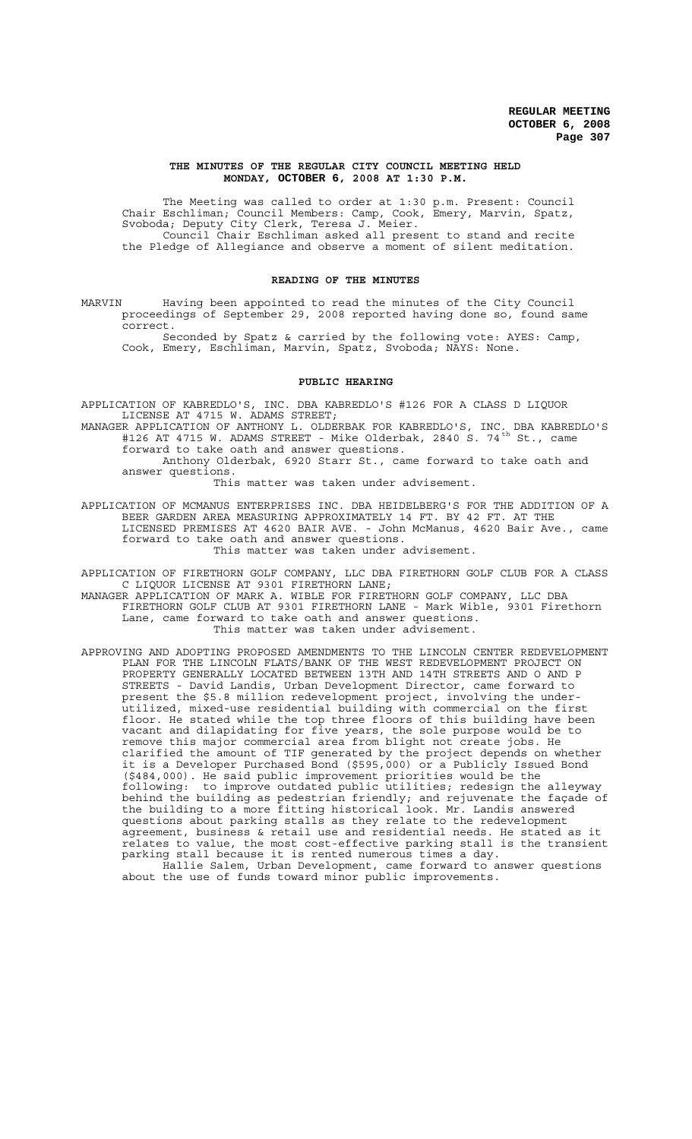#### **THE MINUTES OF THE REGULAR CITY COUNCIL MEETING HELD MONDAY, OCTOBER 6, 2008 AT 1:30 P.M.**

The Meeting was called to order at 1:30 p.m. Present: Council Chair Eschliman; Council Members: Camp, Cook, Emery, Marvin, Spatz, Svoboda; Deputy City Clerk, Teresa J. Meier. Council Chair Eschliman asked all present to stand and recite the Pledge of Allegiance and observe a moment of silent meditation.

# **READING OF THE MINUTES**

MARVIN Having been appointed to read the minutes of the City Council proceedings of September 29, 2008 reported having done so, found same correct.

Seconded by Spatz & carried by the following vote: AYES: Camp, Cook, Emery, Eschliman, Marvin, Spatz, Svoboda; NAYS: None.

#### **PUBLIC HEARING**

- APPLICATION OF KABREDLO'S, INC. DBA KABREDLO'S #126 FOR A CLASS D LIQUOR LICENSE AT 4715 W. ADAMS STREET;
- MANAGER APPLICATION OF ANTHONY L. OLDERBAK FOR KABREDLO'S, INC. DBA KABREDLO'S #126 AT 4715 W. ADAMS STREET - Mike Olderbak, 2840 S. 74 $^{\text{th}}$  St., came forward to take oath and answer questions.

Anthony Olderbak, 6920 Starr St., came forward to take oath and answer questions.

This matter was taken under advisement.

APPLICATION OF MCMANUS ENTERPRISES INC. DBA HEIDELBERG'S FOR THE ADDITION OF A BEER GARDEN AREA MEASURING APPROXIMATELY 14 FT. BY 42 FT. AT THE LICENSED PREMISES AT 4620 BAIR AVE. - John McManus, 4620 Bair Ave., came forward to take oath and answer questions. This matter was taken under advisement.

APPLICATION OF FIRETHORN GOLF COMPANY, LLC DBA FIRETHORN GOLF CLUB FOR A CLASS C LIQUOR LICENSE AT 9301 FIRETHORN LANE;

MANAGER APPLICATION OF MARK A. WIBLE FOR FIRETHORN GOLF COMPANY, LLC DBA FIRETHORN GOLF CLUB AT 9301 FIRETHORN LANE - Mark Wible, 9301 Firethorn Lane, came forward to take oath and answer questions. This matter was taken under advisement.

APPROVING AND ADOPTING PROPOSED AMENDMENTS TO THE LINCOLN CENTER REDEVELOPMENT PLAN FOR THE LINCOLN FLATS/BANK OF THE WEST REDEVELOPMENT PROJECT ON PROPERTY GENERALLY LOCATED BETWEEN 13TH AND 14TH STREETS AND O AND P STREETS - David Landis, Urban Development Director, came forward to present the \$5.8 million redevelopment project, involving the underutilized, mixed-use residential building with commercial on the first floor. He stated while the top three floors of this building have been vacant and dilapidating for five years, the sole purpose would be to remove this major commercial area from blight not create jobs. He clarified the amount of TIF generated by the project depends on whether it is a Developer Purchased Bond (\$595,000) or a Publicly Issued Bond (\$484,000). He said public improvement priorities would be the following: to improve outdated public utilities; redesign the alleyway behind the building as pedestrian friendly; and rejuvenate the façade of the building to a more fitting historical look. Mr. Landis answered questions about parking stalls as they relate to the redevelopment agreement, business & retail use and residential needs. He stated as it relates to value, the most cost-effective parking stall is the transient parking stall because it is rented numerous times a day.

Hallie Salem, Urban Development, came forward to answer questions about the use of funds toward minor public improvements.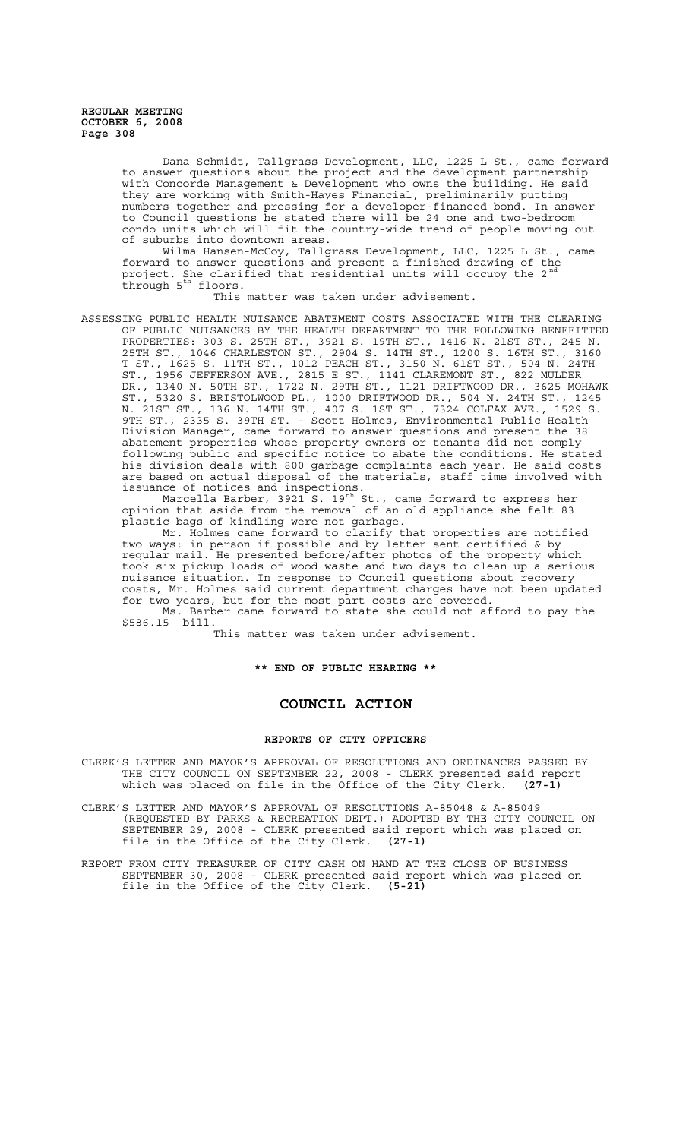> Dana Schmidt, Tallgrass Development, LLC, 1225 L St., came forward to answer questions about the project and the development partnership with Concorde Management & Development who owns the building. He said they are working with Smith-Hayes Financial, preliminarily putting numbers together and pressing for a developer-financed bond. In answer to Council questions he stated there will be 24 one and two-bedroom condo units which will fit the country-wide trend of people moving out of suburbs into downtown areas.

Wilma Hansen-McCoy, Tallgrass Development, LLC, 1225 L St., came forward to answer questions and present a finished drawing of the project. She clarified that residential units will occupy the 2  $^{\rm nd}$ through 5<sup>th</sup> floors.

This matter was taken under advisement.

ASSESSING PUBLIC HEALTH NUISANCE ABATEMENT COSTS ASSOCIATED WITH THE CLEARING OF PUBLIC NUISANCES BY THE HEALTH DEPARTMENT TO THE FOLLOWING BENEFITTED PROPERTIES: 303 S. 25TH ST., 3921 S. 19TH ST., 1416 N. 21ST ST., 245 N. 25TH ST., 1046 CHARLESTON ST., 2904 S. 14TH ST., 1200 S. 16TH ST., 3160 T ST., 1625 S. 11TH ST., 1012 PEACH ST., 3150 N. 61ST ST., 504 N. 24TH ST., 1956 JEFFERSON AVE., 2815 E ST., 1141 CLAREMONT ST., 822 MULDER DR., 1340 N. 50TH ST., 1722 N. 29TH ST., 1121 DRIFTWOOD DR., 3625 MOHAWK ST., 5320 S. BRISTOLWOOD PL., 1000 DRIFTWOOD DR., 504 N. 24TH ST., 1245 N. 21ST ST., 136 N. 14TH ST., 407 S. 1ST ST., 7324 COLFAX AVE., 1529 S. 9TH ST., 2335 S. 39TH ST. - Scott Holmes, Environmental Public Health Division Manager, came forward to answer questions and present the 38 abatement properties whose property owners or tenants did not comply following public and specific notice to abate the conditions. He stated his division deals with 800 garbage complaints each year. He said costs are based on actual disposal of the materials, staff time involved with issuance of notices and inspections.

Marcella Barber, 3921 S. 19 $^{\text{th}}$  St., came forward to express her opinion that aside from the removal of an old appliance she felt 83 plastic bags of kindling were not garbage.

Mr. Holmes came forward to clarify that properties are notified two ways: in person if possible and by letter sent certified & by regular mail. He presented before/after photos of the property which took six pickup loads of wood waste and two days to clean up a serious nuisance situation. In response to Council questions about recovery costs, Mr. Holmes said current department charges have not been updated for two years, but for the most part costs are covered.

Ms. Barber came forward to state she could not afford to pay the \$586.15 bill.

This matter was taken under advisement.

**\*\* END OF PUBLIC HEARING \*\***

# **COUNCIL ACTION**

#### **REPORTS OF CITY OFFICERS**

CLERK'S LETTER AND MAYOR'S APPROVAL OF RESOLUTIONS AND ORDINANCES PASSED BY THE CITY COUNCIL ON SEPTEMBER 22, 2008 - CLERK presented said report which was placed on file in the Office of the City Clerk. **(27-1)**

CLERK'S LETTER AND MAYOR'S APPROVAL OF RESOLUTIONS A-85048 & A-85049 (REQUESTED BY PARKS & RECREATION DEPT.) ADOPTED BY THE CITY COUNCIL ON SEPTEMBER 29, 2008 - CLERK presented said report which was placed on file in the Office of the City Clerk. **(27-1)**

REPORT FROM CITY TREASURER OF CITY CASH ON HAND AT THE CLOSE OF BUSINESS SEPTEMBER 30, 2008 - CLERK presented said report which was placed on file in the Office of the City Clerk. **(5-21)**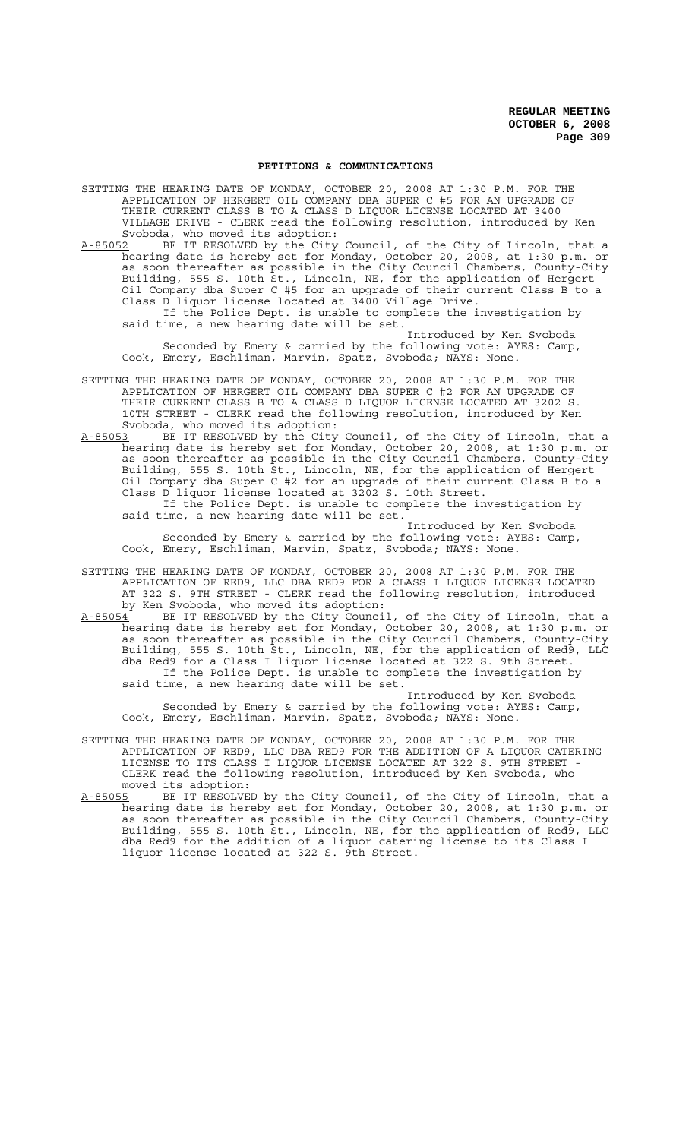#### **PETITIONS & COMMUNICATIONS**

SETTING THE HEARING DATE OF MONDAY, OCTOBER 20, 2008 AT 1:30 P.M. FOR THE APPLICATION OF HERGERT OIL COMPANY DBA SUPER C #5 FOR AN UPGRADE OF THEIR CURRENT CLASS B TO A CLASS D LIQUOR LICENSE LOCATED AT 3400 VILLAGE DRIVE - CLERK read the following resolution, introduced by Ken Svoboda, who moved its adoption:

A-85052 BE IT RESOLVED by the City Council, of the City of Lincoln, that a hearing date is hereby set for Monday, October 20, 2008, at 1:30 p.m. or as soon thereafter as possible in the City Council Chambers, County-City Building, 555 S. 10th St., Lincoln, NE, for the application of Hergert Oil Company dba Super C #5 for an upgrade of their current Class B to a Class D liquor license located at 3400 Village Drive. If the Police Dept. is unable to complete the investigation by said time, a new hearing date will be set.

Introduced by Ken Svoboda Seconded by Emery & carried by the following vote: AYES: Camp, Cook, Emery, Eschliman, Marvin, Spatz, Svoboda; NAYS: None.

- SETTING THE HEARING DATE OF MONDAY, OCTOBER 20, 2008 AT 1:30 P.M. FOR THE APPLICATION OF HERGERT OIL COMPANY DBA SUPER C #2 FOR AN UPGRADE OF THEIR CURRENT CLASS B TO A CLASS D LIQUOR LICENSE LOCATED AT 3202 S. 10TH STREET - CLERK read the following resolution, introduced by Ken Svoboda, who moved its adoption:
- A-85053 BE IT RESOLVED by the City Council, of the City of Lincoln, that a hearing date is hereby set for Monday, October 20, 2008, at 1:30 p.m. or as soon thereafter as possible in the City Council Chambers, County-City Building, 555 S. 10th St., Lincoln, NE, for the application of Hergert Oil Company dba Super C #2 for an upgrade of their current Class B to a Class D liquor license located at 3202 S. 10th Street. If the Police Dept. is unable to complete the investigation by said time, a new hearing date will be set.

Introduced by Ken Svoboda Seconded by Emery & carried by the following vote: AYES: Camp, Cook, Emery, Eschliman, Marvin, Spatz, Svoboda; NAYS: None.

- SETTING THE HEARING DATE OF MONDAY, OCTOBER 20, 2008 AT 1:30 P.M. FOR THE APPLICATION OF RED9, LLC DBA RED9 FOR A CLASS I LIQUOR LICENSE LOCATED AT 322 S. 9TH STREET - CLERK read the following resolution, introduced by Ken Svoboda, who moved its adoption:
- A-85054 BE IT RESOLVED by the City Council, of the City of Lincoln, that a hearing date is hereby set for Monday, October 20, 2008, at 1:30 p.m. or as soon thereafter as possible in the City Council Chambers, County-City Building, 555 S. 10th St., Lincoln, NE, for the application of Red9, LLC dba Red9 for a Class I liquor license located at 322 S. 9th Street. If the Police Dept. is unable to complete the investigation by said time, a new hearing date will be set.

Introduced by Ken Svoboda Seconded by Emery & carried by the following vote: AYES: Camp, Cook, Emery, Eschliman, Marvin, Spatz, Svoboda; NAYS: None.

- SETTING THE HEARING DATE OF MONDAY, OCTOBER 20, 2008 AT 1:30 P.M. FOR THE APPLICATION OF RED9, LLC DBA RED9 FOR THE ADDITION OF A LIQUOR CATERING LICENSE TO ITS CLASS I LIQUOR LICENSE LOCATED AT 322 S. 9TH STREET - CLERK read the following resolution, introduced by Ken Svoboda, who moved its adoption:<br>A-85055 BE IT RESOLVE
- A-85055 BE IT RESOLVED by the City Council, of the City of Lincoln, that a hearing date is hereby set for Monday, October 20, 2008, at 1:30 p.m. or as soon thereafter as possible in the City Council Chambers, County-City Building, 555 S. 10th St., Lincoln, NE, for the application of Red9, LLC dba Red9 for the addition of a liquor catering license to its Class I liquor license located at 322 S. 9th Street.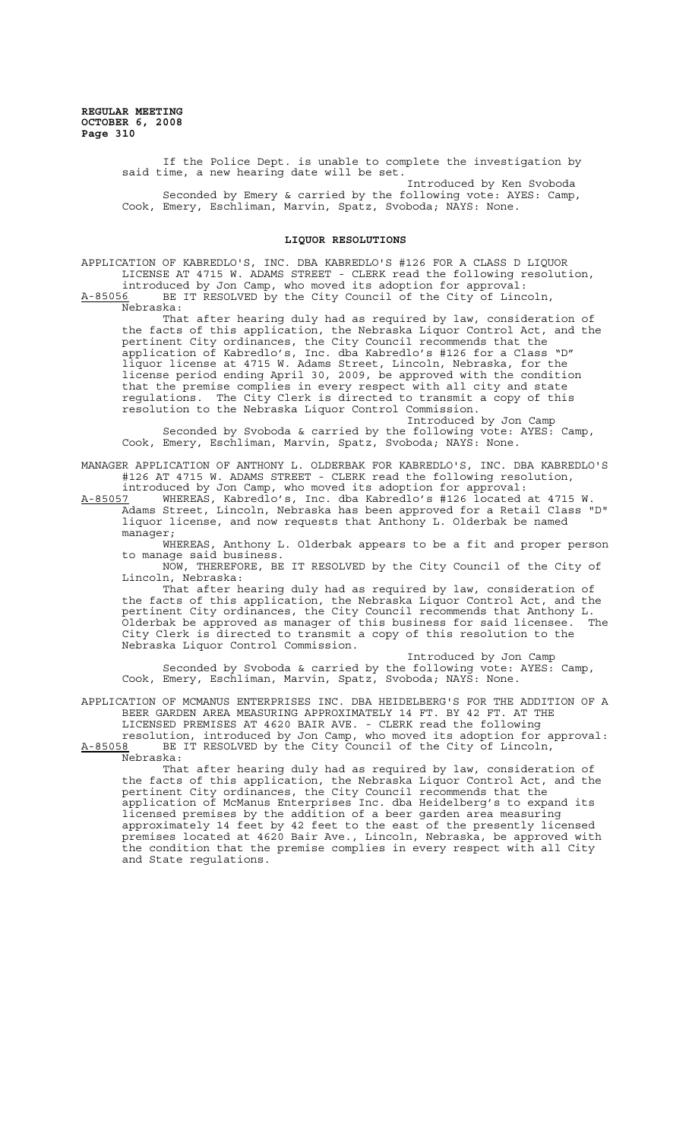> If the Police Dept. is unable to complete the investigation by said time, a new hearing date will be set. Introduced by Ken Svoboda

> Seconded by Emery & carried by the following vote: AYES: Camp, Cook, Emery, Eschliman, Marvin, Spatz, Svoboda; NAYS: None.

# **LIQUOR RESOLUTIONS**

APPLICATION OF KABREDLO'S, INC. DBA KABREDLO'S #126 FOR A CLASS D LIQUOR LICENSE AT 4715 W. ADAMS STREET - CLERK read the following resolution, introduced by Jon Camp, who moved its adoption for approval:

A-85056 BE IT RESOLVED by the City Council of the City of Lincoln, Nebraska:

That after hearing duly had as required by law, consideration of the facts of this application, the Nebraska Liquor Control Act, and the pertinent City ordinances, the City Council recommends that the application of Kabredlo's, Inc. dba Kabredlo's #126 for a Class "D" liquor license at 4715 W. Adams Street, Lincoln, Nebraska, for the license period ending April 30, 2009, be approved with the condition that the premise complies in every respect with all city and state regulations. The City Clerk is directed to transmit a copy of this resolution to the Nebraska Liquor Control Commission.

Introduced by Jon Camp Seconded by Svoboda & carried by the following vote: AYES: Camp, Cook, Emery, Eschliman, Marvin, Spatz, Svoboda; NAYS: None.

MANAGER APPLICATION OF ANTHONY L. OLDERBAK FOR KABREDLO'S, INC. DBA KABREDLO'S #126 AT 4715 W. ADAMS STREET - CLERK read the following resolution, introduced by Jon Camp, who moved its adoption for approval:

A-85057 WHEREAS, Kabredlo's, Inc. dba Kabredlo's #126 located at 4715 W. Adams Street, Lincoln, Nebraska has been approved for a Retail Class "D" liquor license, and now requests that Anthony L. Olderbak be named manager;

WHEREAS, Anthony L. Olderbak appears to be a fit and proper person to manage said business.

NOW, THEREFORE, BE IT RESOLVED by the City Council of the City of Lincoln, Nebraska:

That after hearing duly had as required by law, consideration of the facts of this application, the Nebraska Liquor Control Act, and the pertinent City ordinances, the City Council recommends that Anthony L. Olderbak be approved as manager of this business for said licensee. The City Clerk is directed to transmit a copy of this resolution to the Nebraska Liquor Control Commission.

Introduced by Jon Camp Seconded by Svoboda & carried by the following vote: AYES: Camp, Cook, Emery, Eschliman, Marvin, Spatz, Svoboda; NAYS: None.

APPLICATION OF MCMANUS ENTERPRISES INC. DBA HEIDELBERG'S FOR THE ADDITION OF A BEER GARDEN AREA MEASURING APPROXIMATELY 14 FT. BY 42 FT. AT THE LICENSED PREMISES AT 4620 BAIR AVE. - CLERK read the following

resolution, introduced by Jon Camp, who moved its adoption for approval: A-85058 BE IT RESOLVED by the City Council of the City of Lincoln,  $A-85058$  BE<br>Nebraska:

That after hearing duly had as required by law, consideration of the facts of this application, the Nebraska Liquor Control Act, and the pertinent City ordinances, the City Council recommends that the application of McManus Enterprises Inc. dba Heidelberg's to expand its licensed premises by the addition of a beer garden area measuring approximately 14 feet by 42 feet to the east of the presently licensed premises located at 4620 Bair Ave., Lincoln, Nebraska, be approved with the condition that the premise complies in every respect with all City and State regulations.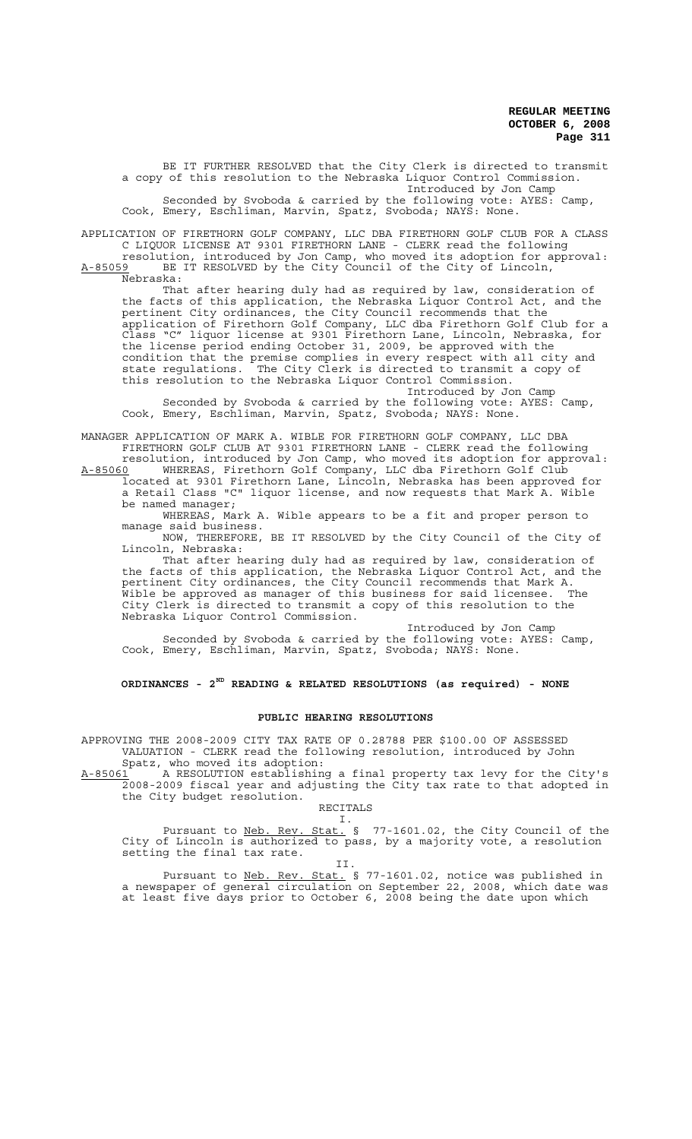BE IT FURTHER RESOLVED that the City Clerk is directed to transmit a copy of this resolution to the Nebraska Liquor Control Commission. Introduced by Jon Camp Seconded by Svoboda & carried by the following vote: AYES: Camp, Cook, Emery, Eschliman, Marvin, Spatz, Svoboda; NAYS: None.

APPLICATION OF FIRETHORN GOLF COMPANY, LLC DBA FIRETHORN GOLF CLUB FOR A CLASS C LIQUOR LICENSE AT 9301 FIRETHORN LANE - CLERK read the following

resolution, introduced by Jon Camp, who moved its adoption for approval: A-85059 BE IT RESOLVED by the City Council of the City of Lincoln,

Nebraska:

That after hearing duly had as required by law, consideration of the facts of this application, the Nebraska Liquor Control Act, and the pertinent City ordinances, the City Council recommends that the application of Firethorn Golf Company, LLC dba Firethorn Golf Club for a Class "C" liquor license at 9301 Firethorn Lane, Lincoln, Nebraska, for the license period ending October 31, 2009, be approved with the condition that the premise complies in every respect with all city and state regulations. The City Clerk is directed to transmit a copy of this resolution to the Nebraska Liquor Control Commission.

Introduced by Jon Camp Seconded by Svoboda & carried by the following vote: AYES: Camp, Cook, Emery, Eschliman, Marvin, Spatz, Svoboda; NAYS: None.

MANAGER APPLICATION OF MARK A. WIBLE FOR FIRETHORN GOLF COMPANY, LLC DBA FIRETHORN GOLF CLUB AT 9301 FIRETHORN LANE - CLERK read the following

resolution, introduced by Jon Camp, who moved its adoption for approval:<br>A-85060 WHEREAS, Firethorn Golf Company, LLC dba Firethorn Golf Club A-85060 WHEREAS, Firethorn Golf Company, LLC dba Firethorn Golf Club located at 9301 Firethorn Lane, Lincoln, Nebraska has been approved for a Retail Class "C" liquor license, and now requests that Mark A. Wible be named manager;

WHEREAS, Mark A. Wible appears to be a fit and proper person to manage said business.

NOW, THEREFORE, BE IT RESOLVED by the City Council of the City of Lincoln, Nebraska:

That after hearing duly had as required by law, consideration of the facts of this application, the Nebraska Liquor Control Act, and the pertinent City ordinances, the City Council recommends that Mark A. Wible be approved as manager of this business for said licensee. The City Clerk is directed to transmit a copy of this resolution to the Nebraska Liquor Control Commission.

Introduced by Jon Camp Seconded by Svoboda & carried by the following vote: AYES: Camp, Cook, Emery, Eschliman, Marvin, Spatz, Svoboda; NAYS: None.

**ORDINANCES - 2ND READING & RELATED RESOLUTIONS (as required) - NONE**

#### **PUBLIC HEARING RESOLUTIONS**

APPROVING THE 2008-2009 CITY TAX RATE OF 0.28788 PER \$100.00 OF ASSESSED VALUATION - CLERK read the following resolution, introduced by John

Spatz, who moved its adoption:<br>A-85061 A RESOLUTION establishim A-85061 A RESOLUTION establishing a final property tax levy for the City's 2008-2009 fiscal year and adjusting the City tax rate to that adopted in the City budget resolution.

RECITALS I.

Pursuant to Neb. Rev. Stat. § 77-1601.02, the City Council of the City of Lincoln is authorized to pass, by a majority vote, a resolution setting the final tax rate.

II. Pursuant to Neb. Rev. Stat. § 77-1601.02, notice was published in a newspaper of general circulation on September 22, 2008, which date was at least five days prior to October 6, 2008 being the date upon which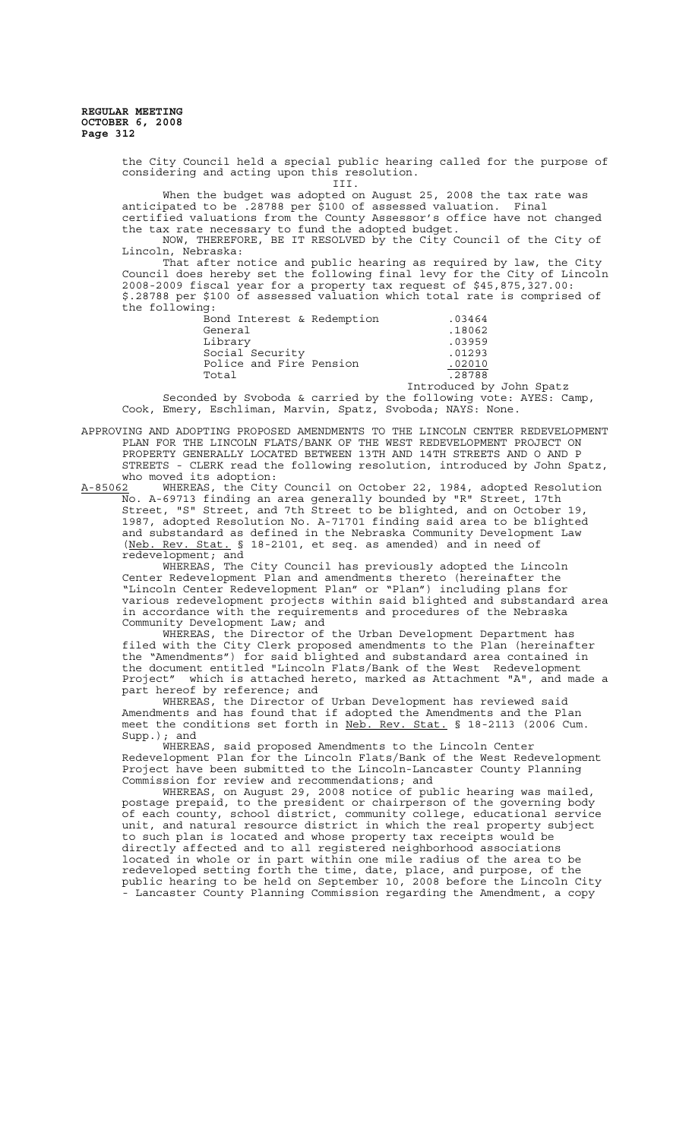> the City Council held a special public hearing called for the purpose of considering and acting upon this resolution. III.

When the budget was adopted on August 25, 2008 the tax rate was anticipated to be .28788 per \$100 of assessed valuation. Final certified valuations from the County Assessor's office have not changed the tax rate necessary to fund the adopted budget.

NOW, THEREFORE, BE IT RESOLVED by the City Council of the City of Lincoln, Nebraska:

That after notice and public hearing as required by law, the City Council does hereby set the following final levy for the City of Lincoln 2008-2009 fiscal year for a property tax request of \$45,875,327.00: \$.28788 per \$100 of assessed valuation which total rate is comprised of the following:

| Bond Interest & Redemption | .03464              |
|----------------------------|---------------------|
| General                    | .18062              |
| Library                    | .03959              |
| Social Security            | .01293              |
| Police and Fire Pension    | .02010              |
| Total                      | .28788              |
|                            | $Tn+modt$ $A_1$ $N$ |

Introduced by John Spatz Seconded by Svoboda & carried by the following vote: AYES: Camp, Cook, Emery, Eschliman, Marvin, Spatz, Svoboda; NAYS: None.

APPROVING AND ADOPTING PROPOSED AMENDMENTS TO THE LINCOLN CENTER REDEVELOPMENT PLAN FOR THE LINCOLN FLATS/BANK OF THE WEST REDEVELOPMENT PROJECT ON PROPERTY GENERALLY LOCATED BETWEEN 13TH AND 14TH STREETS AND O AND P STREETS - CLERK read the following resolution, introduced by John Spatz, who moved its adoption:

A-85062 WHEREAS, the City Council on October 22, 1984, adopted Resolution No. A-69713 finding an area generally bounded by "R" Street, 17th Street, "S" Street, and 7th Street to be blighted, and on October 19, 1987, adopted Resolution No. A-71701 finding said area to be blighted and substandard as defined in the Nebraska Community Development Law (Neb. Rev. Stat. § 18-2101, et seq. as amended) and in need of redevelopment; and

WHEREAS, The City Council has previously adopted the Lincoln Center Redevelopment Plan and amendments thereto (hereinafter the "Lincoln Center Redevelopment Plan" or "Plan") including plans for various redevelopment projects within said blighted and substandard area in accordance with the requirements and procedures of the Nebraska Community Development Law; and

WHEREAS, the Director of the Urban Development Department has filed with the City Clerk proposed amendments to the Plan (hereinafter the "Amendments") for said blighted and substandard area contained in the document entitled "Lincoln Flats/Bank of the West Redevelopment Project" which is attached hereto, marked as Attachment "A", and made a part hereof by reference; and

WHEREAS, the Director of Urban Development has reviewed said Amendments and has found that if adopted the Amendments and the Plan meet the conditions set forth in Neb. Rev. Stat. § 18-2113 (2006 Cum. Supp.); and

WHEREAS, said proposed Amendments to the Lincoln Center Redevelopment Plan for the Lincoln Flats/Bank of the West Redevelopment Project have been submitted to the Lincoln-Lancaster County Planning Commission for review and recommendations; and

WHEREAS, on August 29, 2008 notice of public hearing was mailed, postage prepaid, to the president or chairperson of the governing body of each county, school district, community college, educational service unit, and natural resource district in which the real property subject to such plan is located and whose property tax receipts would be directly affected and to all registered neighborhood associations located in whole or in part within one mile radius of the area to be redeveloped setting forth the time, date, place, and purpose, of the public hearing to be held on September 10, 2008 before the Lincoln City - Lancaster County Planning Commission regarding the Amendment, a copy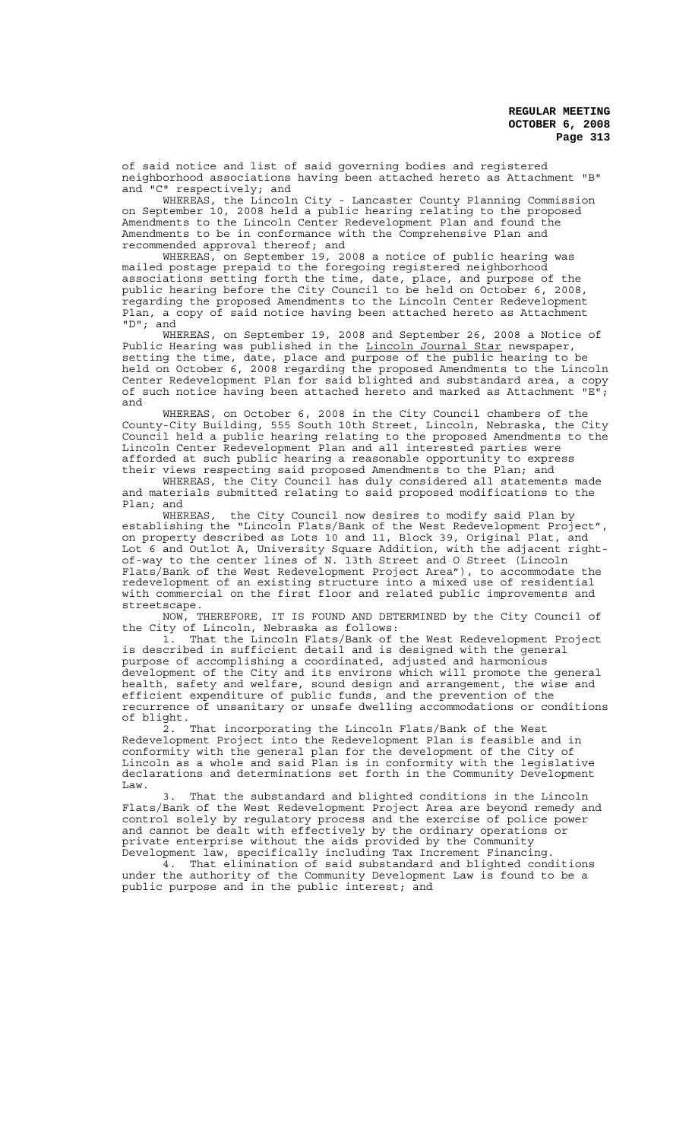of said notice and list of said governing bodies and registered neighborhood associations having been attached hereto as Attachment "B" and "C" respectively; and

WHEREAS, the Lincoln City - Lancaster County Planning Commission on September 10, 2008 held a public hearing relating to the proposed Amendments to the Lincoln Center Redevelopment Plan and found the Amendments to be in conformance with the Comprehensive Plan and recommended approval thereof; and

WHEREAS, on September 19, 2008 a notice of public hearing was mailed postage prepaid to the foregoing registered neighborhood associations setting forth the time, date, place, and purpose of the public hearing before the City Council to be held on October 6, 2008, regarding the proposed Amendments to the Lincoln Center Redevelopment Plan, a copy of said notice having been attached hereto as Attachment "D"; and

WHEREAS, on September 19, 2008 and September 26, 2008 a Notice of Public Hearing was published in the Lincoln Journal Star newspaper, setting the time, date, place and purpose of the public hearing to be held on October 6, 2008 regarding the proposed Amendments to the Lincoln Center Redevelopment Plan for said blighted and substandard area, a copy of such notice having been attached hereto and marked as Attachment "E"; and

WHEREAS, on October 6, 2008 in the City Council chambers of the County-City Building, 555 South 10th Street, Lincoln, Nebraska, the City Council held a public hearing relating to the proposed Amendments to the Lincoln Center Redevelopment Plan and all interested parties were afforded at such public hearing a reasonable opportunity to express their views respecting said proposed Amendments to the Plan; and

WHEREAS, the City Council has duly considered all statements made and materials submitted relating to said proposed modifications to the Plan; and<br>WHEREAS.

the City Council now desires to modify said Plan by establishing the "Lincoln Flats/Bank of the West Redevelopment Project", on property described as Lots 10 and 11, Block 39, Original Plat, and Lot 6 and Outlot A, University Square Addition, with the adjacent rightof-way to the center lines of N. 13th Street and O Street (Lincoln Flats/Bank of the West Redevelopment Project Area"), to accommodate the redevelopment of an existing structure into a mixed use of residential with commercial on the first floor and related public improvements and streetscape.

NOW, THEREFORE, IT IS FOUND AND DETERMINED by the City Council of the City of Lincoln, Nebraska as follows:

1. That the Lincoln Flats/Bank of the West Redevelopment Project is described in sufficient detail and is designed with the general purpose of accomplishing a coordinated, adjusted and harmonious development of the City and its environs which will promote the general health, safety and welfare, sound design and arrangement, the wise and efficient expenditure of public funds, and the prevention of the recurrence of unsanitary or unsafe dwelling accommodations or conditions of blight.

2. That incorporating the Lincoln Flats/Bank of the West Redevelopment Project into the Redevelopment Plan is feasible and in conformity with the general plan for the development of the City of Lincoln as a whole and said Plan is in conformity with the legislative declarations and determinations set forth in the Community Development Law.

That the substandard and blighted conditions in the Lincoln Flats/Bank of the West Redevelopment Project Area are beyond remedy and control solely by regulatory process and the exercise of police power and cannot be dealt with effectively by the ordinary operations or private enterprise without the aids provided by the Community Development law, specifically including Tax Increment Financing.

4. That elimination of said substandard and blighted conditions under the authority of the Community Development Law is found to be a public purpose and in the public interest; and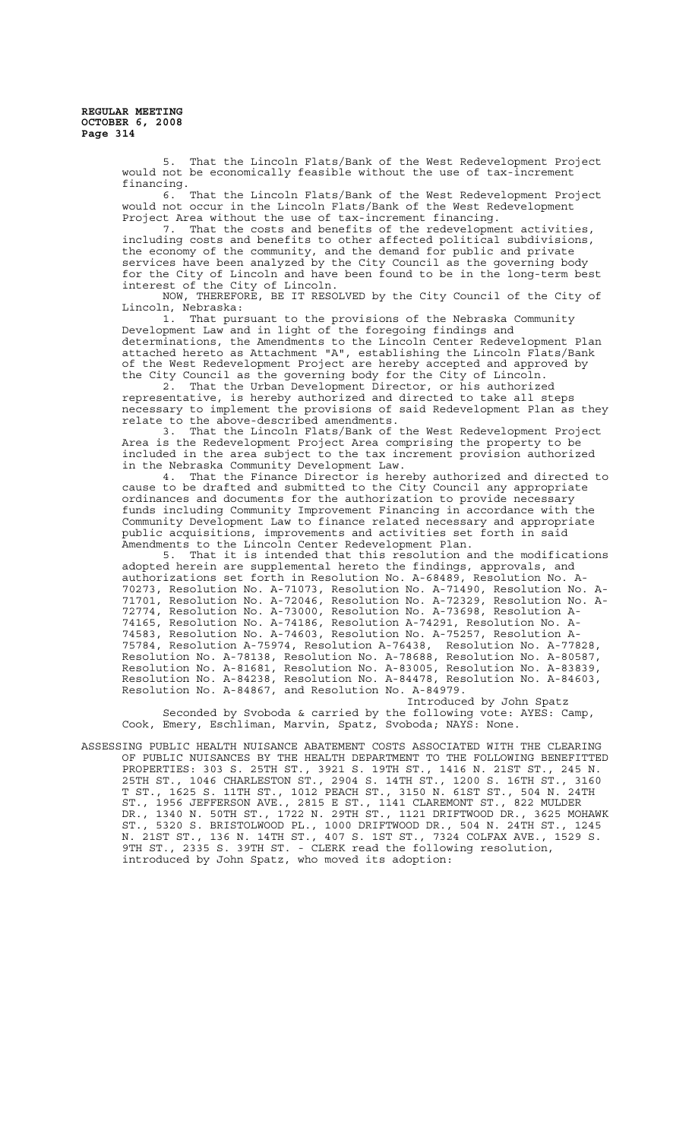> 5. That the Lincoln Flats/Bank of the West Redevelopment Project would not be economically feasible without the use of tax-increment financing.

> 6. That the Lincoln Flats/Bank of the West Redevelopment Project would not occur in the Lincoln Flats/Bank of the West Redevelopment Project Area without the use of tax-increment financing.

> 7. That the costs and benefits of the redevelopment activities, including costs and benefits to other affected political subdivisions, the economy of the community, and the demand for public and private services have been analyzed by the City Council as the governing body for the City of Lincoln and have been found to be in the long-term best interest of the City of Lincoln.

> NOW, THEREFORE, BE IT RESOLVED by the City Council of the City of Lincoln, Nebraska:<br>1. That pure

> That pursuant to the provisions of the Nebraska Community Development Law and in light of the foregoing findings and determinations, the Amendments to the Lincoln Center Redevelopment Plan attached hereto as Attachment "A", establishing the Lincoln Flats/Bank of the West Redevelopment Project are hereby accepted and approved by the City Council as the governing body for the City of Lincoln.

> 2. That the Urban Development Director, or his authorized representative, is hereby authorized and directed to take all steps necessary to implement the provisions of said Redevelopment Plan as they

> relate to the above-described amendments.<br>3. That the Lincoln Flats/Bank of That the Lincoln Flats/Bank of the West Redevelopment Project Area is the Redevelopment Project Area comprising the property to be included in the area subject to the tax increment provision authorized in the Nebraska Community Development Law.<br>4. That the Finance Director is her

That the Finance Director is hereby authorized and directed to cause to be drafted and submitted to the City Council any appropriate ordinances and documents for the authorization to provide necessary funds including Community Improvement Financing in accordance with the Community Development Law to finance related necessary and appropriate public acquisitions, improvements and activities set forth in said Amendments to the Lincoln Center Redevelopment Plan.

5. That it is intended that this resolution and the modifications adopted herein are supplemental hereto the findings, approvals, and authorizations set forth in Resolution No. A-68489, Resolution No. A-70273, Resolution No. A-71073, Resolution No. A-71490, Resolution No. A-71701, Resolution No. A-72046, Resolution No. A-72329, Resolution No. A-72774, Resolution No. A-73000, Resolution No. A-73698, Resolution A-74165, Resolution No. A-74186, Resolution A-74291, Resolution No. A-74583, Resolution No. A-74603, Resolution No. A-75257, Resolution A-75784, Resolution A-75974, Resolution A-76438, Resolution No. A-77828, Resolution No. A-78138, Resolution No. A-78688, Resolution No. A-80587, Resolution No. A-81681, Resolution No. A-83005, Resolution No. A-83839, Resolution No. A-84238, Resolution No. A-84478, Resolution No. A-84603, Resolution No. A-84867, and Resolution No. A-84979.

Introduced by John Spatz Seconded by Svoboda & carried by the following vote: AYES: Camp, Cook, Emery, Eschliman, Marvin, Spatz, Svoboda; NAYS: None.

ASSESSING PUBLIC HEALTH NUISANCE ABATEMENT COSTS ASSOCIATED WITH THE CLEARING OF PUBLIC NUISANCES BY THE HEALTH DEPARTMENT TO THE FOLLOWING BENEFITTED PROPERTIES: 303 S. 25TH ST., 3921 S. 19TH ST., 1416 N. 21ST ST., 245 N. 25TH ST., 1046 CHARLESTON ST., 2904 S. 14TH ST., 1200 S. 16TH ST., 3160 T ST., 1625 S. 11TH ST., 1012 PEACH ST., 3150 N. 61ST ST., 504 N. 24TH ST., 1956 JEFFERSON AVE., 2815 E ST., 1141 CLAREMONT ST., 822 MULDER DR., 1340 N. 50TH ST., 1722 N. 29TH ST., 1121 DRIFTWOOD DR., 3625 MOHAWK ST., 5320 S. BRISTOLWOOD PL., 1000 DRIFTWOOD DR., 504 N. 24TH ST., 1245 N. 21ST ST., 136 N. 14TH ST., 407 S. 1ST ST., 7324 COLFAX AVE., 1529 S. 9TH ST., 2335 S. 39TH ST. - CLERK read the following resolution, introduced by John Spatz, who moved its adoption: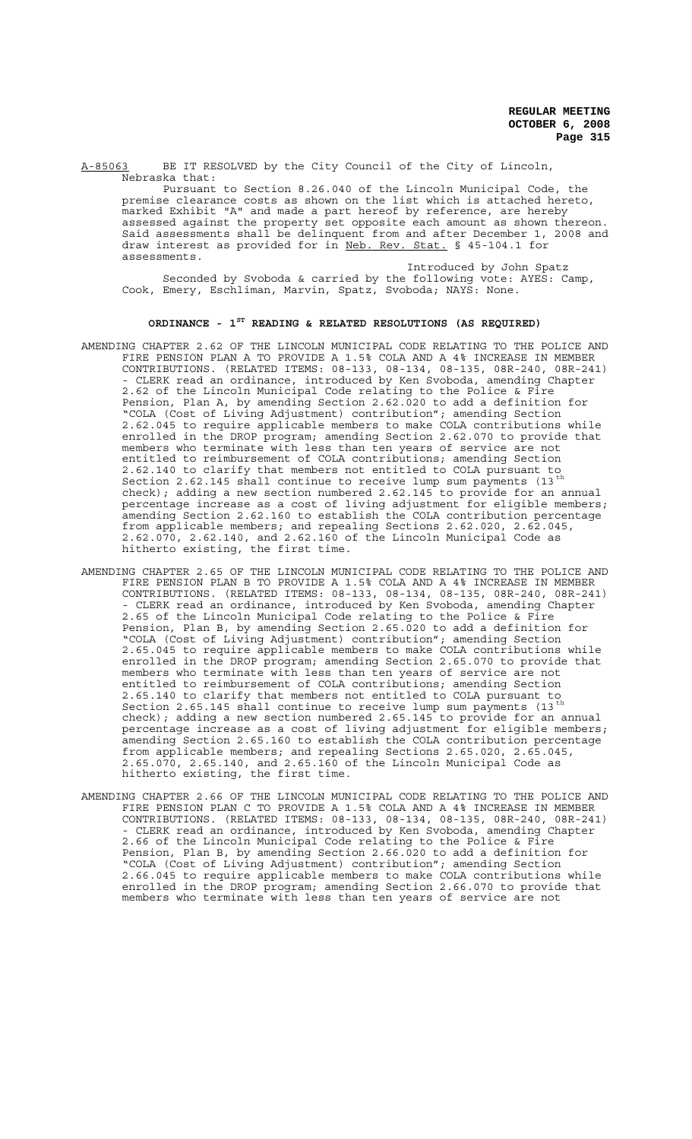A-85063 BE IT RESOLVED by the City Council of the City of Lincoln, Nebraska that:

Pursuant to Section 8.26.040 of the Lincoln Municipal Code, the premise clearance costs as shown on the list which is attached hereto, marked Exhibit "A" and made a part hereof by reference, are hereby assessed against the property set opposite each amount as shown thereon. Said assessments shall be delinquent from and after December 1, 2008 and draw interest as provided for in Neb. Rev. Stat. § 45-104.1 for assessments.

Introduced by John Spatz Seconded by Svoboda & carried by the following vote: AYES: Camp, Cook, Emery, Eschliman, Marvin, Spatz, Svoboda; NAYS: None.

## **ORDINANCE - 1ST READING & RELATED RESOLUTIONS (AS REQUIRED)**

- AMENDING CHAPTER 2.62 OF THE LINCOLN MUNICIPAL CODE RELATING TO THE POLICE AND FIRE PENSION PLAN A TO PROVIDE A 1.5% COLA AND A 4% INCREASE IN MEMBER CONTRIBUTIONS. (RELATED ITEMS: 08-133, 08-134, 08-135, 08R-240, 08R-241) - CLERK read an ordinance, introduced by Ken Svoboda, amending Chapter 2.62 of the Lincoln Municipal Code relating to the Police & Fire Pension, Plan A, by amending Section 2.62.020 to add a definition for "COLA (Cost of Living Adjustment) contribution"; amending Section 2.62.045 to require applicable members to make COLA contributions while enrolled in the DROP program; amending Section 2.62.070 to provide that members who terminate with less than ten years of service are not entitled to reimbursement of COLA contributions; amending Section 2.62.140 to clarify that members not entitled to COLA pursuant Section 2.62.145  $\sinh$  and  $\sinh$  and  $\sin$  and  $\sin$   $\sin$   $\sin$   $\sin$ check); adding a new section numbered 2.62.145 to provide for an annual percentage increase as a cost of living adjustment for eligible members; amending Section 2.62.160 to establish the COLA contribution percentage from applicable members; and repealing Sections 2.62.020, 2.62.045, 2.62.070, 2.62.140, and 2.62.160 of the Lincoln Municipal Code as hitherto existing, the first time.
- AMENDING CHAPTER 2.65 OF THE LINCOLN MUNICIPAL CODE RELATING TO THE POLICE AND FIRE PENSION PLAN B TO PROVIDE A 1.5% COLA AND A 4% INCREASE IN MEMBER CONTRIBUTIONS. (RELATED ITEMS: 08-133, 08-134, 08-135, 08R-240, 08R-241) - CLERK read an ordinance, introduced by Ken Svoboda, amending Chapter 2.65 of the Lincoln Municipal Code relating to the Police & Fire Pension, Plan B, by amending Section 2.65.020 to add a definition for "COLA (Cost of Living Adjustment) contribution"; amending Section 2.65.045 to require applicable members to make COLA contributions while enrolled in the DROP program; amending Section 2.65.070 to provide that members who terminate with less than ten years of service are not entitled to reimbursement of COLA contributions; amending Section 2.65.140 to clarify that members not entitled to COLA pursuant to Section 2.65.145  $\sinh$  and  $\sinh$  and  $\sin$  and  $\sin$   $\sin$   $\sin$   $\sin$ check); adding a new section numbered 2.65.145 to provide for an annual percentage increase as a cost of living adjustment for eligible members; amending Section 2.65.160 to establish the COLA contribution percentage from applicable members; and repealing Sections 2.65.020, 2.65.045, 2.65.070, 2.65.140, and 2.65.160 of the Lincoln Municipal Code as hitherto existing, the first time.
- AMENDING CHAPTER 2.66 OF THE LINCOLN MUNICIPAL CODE RELATING TO THE POLICE AND FIRE PENSION PLAN C TO PROVIDE A 1.5% COLA AND A 4% INCREASE IN MEMBER CONTRIBUTIONS. (RELATED ITEMS: 08-133, 08-134, 08-135, 08R-240, 08R-241) - CLERK read an ordinance, introduced by Ken Svoboda, amending Chapter 2.66 of the Lincoln Municipal Code relating to the Police & Fire Pension, Plan B, by amending Section 2.66.020 to add a definition for "COLA (Cost of Living Adjustment) contribution"; amending Section 2.66.045 to require applicable members to make COLA contributions while enrolled in the DROP program; amending Section 2.66.070 to provide that members who terminate with less than ten years of service are not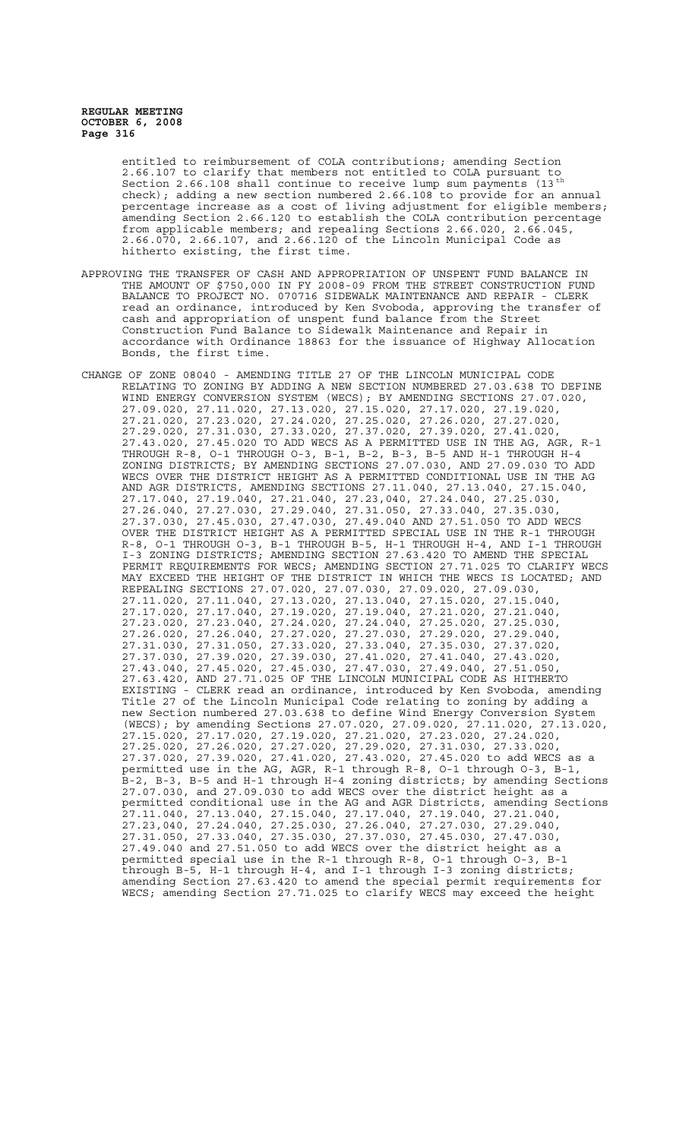entitled to reimbursement of COLA contributions; amending Section 2.66.107 to clarify that members not entitled to COLA pursuant to Section 2.66.108 shall continue to receive lump sum payments (13<sup>th</sup> check); adding a new section numbered 2.66.108 to provide for an annual percentage increase as a cost of living adjustment for eligible members; amending Section 2.66.120 to establish the COLA contribution percentage from applicable members; and repealing Sections 2.66.020, 2.66.045, 2.66.070, 2.66.107, and 2.66.120 of the Lincoln Municipal Code as hitherto existing, the first time.

- APPROVING THE TRANSFER OF CASH AND APPROPRIATION OF UNSPENT FUND BALANCE IN THE AMOUNT OF \$750,000 IN FY 2008-09 FROM THE STREET CONSTRUCTION FUND BALANCE TO PROJECT NO. 070716 SIDEWALK MAINTENANCE AND REPAIR - CLERK read an ordinance, introduced by Ken Svoboda, approving the transfer of cash and appropriation of unspent fund balance from the Street Construction Fund Balance to Sidewalk Maintenance and Repair in accordance with Ordinance 18863 for the issuance of Highway Allocation Bonds, the first time.
- CHANGE OF ZONE 08040 AMENDING TITLE 27 OF THE LINCOLN MUNICIPAL CODE RELATING TO ZONING BY ADDING A NEW SECTION NUMBERED 27.03.638 TO DEFINE WIND ENERGY CONVERSION SYSTEM (WECS); BY AMENDING SECTIONS 27.07.020, 27.09.020, 27.11.020, 27.13.020, 27.15.020, 27.17.020, 27.19.020, 27.21.020, 27.23.020, 27.24.020, 27.25.020, 27.26.020, 27.27.020, 27.29.020, 27.31.030, 27.33.020, 27.37.020, 27.39.020, 27.41.020, 27.43.020, 27.45.020 TO ADD WECS AS A PERMITTED USE IN THE AG, AGR, R-1 THROUGH R-8, O-1 THROUGH O-3, B-1, B-2, B-3, B-5 AND H-1 THROUGH H-4 ZONING DISTRICTS; BY AMENDING SECTIONS 27.07.030, AND 27.09.030 TO ADD WECS OVER THE DISTRICT HEIGHT AS A PERMITTED CONDITIONAL USE IN THE AG AND AGR DISTRICTS, AMENDING SECTIONS 27.11.040, 27.13.040, 27.15.040, 27.17.040, 27.19.040, 27.21.040, 27.23,040, 27.24.040, 27.25.030, 27.26.040, 27.27.030, 27.29.040, 27.31.050, 27.33.040, 27.35.030, 27.37.030, 27.45.030, 27.47.030, 27.49.040 AND 27.51.050 TO ADD WECS OVER THE DISTRICT HEIGHT AS A PERMITTED SPECIAL USE IN THE R-1 THROUGH R-8, O-1 THROUGH O-3, B-1 THROUGH B-5, H-1 THROUGH H-4, AND I-1 THROUGH I-3 ZONING DISTRICTS; AMENDING SECTION 27.63.420 TO AMEND THE SPECIAL PERMIT REQUIREMENTS FOR WECS; AMENDING SECTION 27.71.025 TO CLARIFY WECS MAY EXCEED THE HEIGHT OF THE DISTRICT IN WHICH THE WECS IS LOCATED; AND REPEALING SECTIONS 27.07.020, 27.07.030, 27.09.020, 27.09.030, 27.11.020, 27.11.040, 27.13.020, 27.13.040, 27.15.020, 27.15.040, 27.17.020, 27.17.040, 27.19.020, 27.19.040, 27.21.020, 27.21.040, 27.23.020, 27.23.040, 27.24.020, 27.24.040, 27.25.020, 27.25.030, 27.26.020, 27.26.040, 27.27.020, 27.27.030, 27.29.020, 27.29.040, 27.31.030, 27.31.050, 27.33.020, 27.33.040, 27.35.030, 27.37.020, 27.37.030, 27.39.020, 27.39.030, 27.41.020, 27.41.040, 27.43.020, 27.43.040, 27.45.020, 27.45.030, 27.47.030, 27.49.040, 27.51.050, 27.63.420, AND 27.71.025 OF THE LINCOLN MUNICIPAL CODE AS HITHERTO EXISTING - CLERK read an ordinance, introduced by Ken Svoboda, amending Title 27 of the Lincoln Municipal Code relating to zoning by adding a new Section numbered 27.03.638 to define Wind Energy Conversion System (WECS); by amending Sections 27.07.020, 27.09.020, 27.11.020, 27.13.020, 27.15.020, 27.17.020, 27.19.020, 27.21.020, 27.23.020, 27.24.020, 27.25.020, 27.26.020, 27.27.020, 27.29.020, 27.31.030, 27.33.020, 27.37.020, 27.39.020, 27.41.020, 27.43.020, 27.45.020 to add WECS as a permitted use in the AG, AGR, R-1 through R-8, O-1 through O-3, B-1, B-2, B-3, B-5 and H-1 through H-4 zoning districts; by amending Sections 27.07.030, and 27.09.030 to add WECS over the district height as a permitted conditional use in the AG and AGR Districts, amending Sections 27.11.040, 27.13.040, 27.15.040, 27.17.040, 27.19.040, 27.21.040, 27.23,040, 27.24.040, 27.25.030, 27.26.040, 27.27.030, 27.29.040, 27.31.050, 27.33.040, 27.35.030, 27.37.030, 27.45.030, 27.47.030, 27.49.040 and 27.51.050 to add WECS over the district height as a permitted special use in the R-1 through R-8, O-1 through O-3, B-1 through B-5, H-1 through H-4, and I-1 through I-3 zoning districts; amending Section 27.63.420 to amend the special permit requirements for WECS; amending Section 27.71.025 to clarify WECS may exceed the height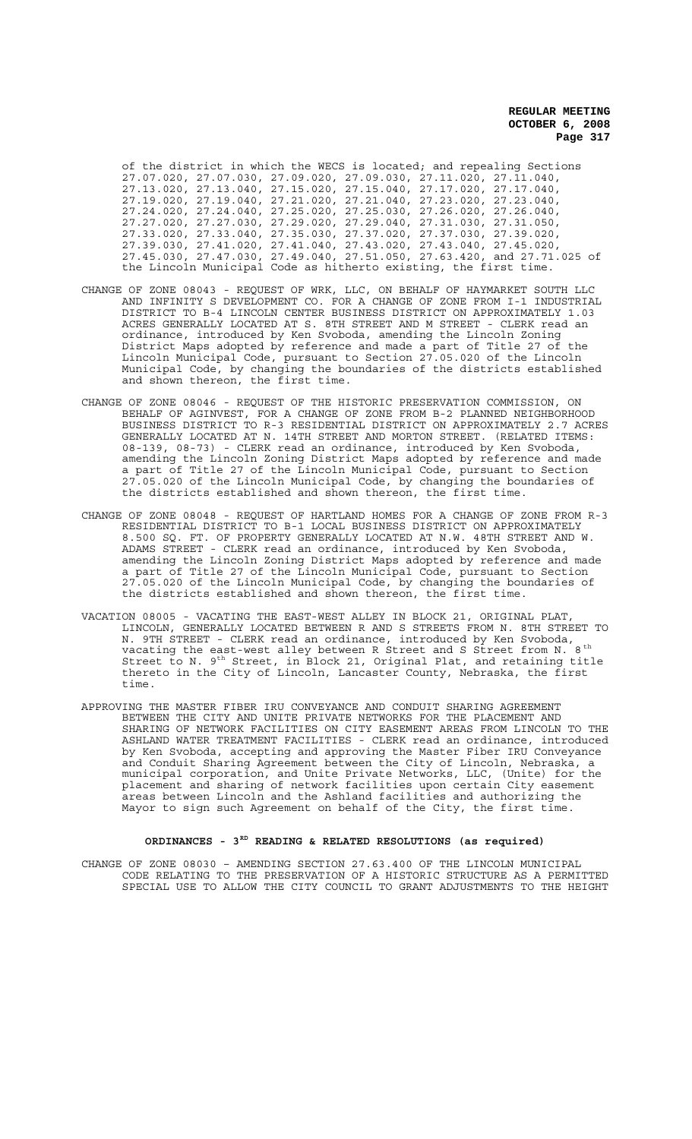of the district in which the WECS is located; and repealing Sections 27.07.020, 27.07.030, 27.09.020, 27.09.030, 27.11.020, 27.11.040, 27.13.020, 27.13.040, 27.15.020, 27.15.040, 27.17.020, 27.17.040, 27.19.020, 27.19.040, 27.21.020, 27.21.040, 27.23.020, 27.23.040, 27.24.020, 27.24.040, 27.25.020, 27.25.030, 27.26.020, 27.26.040, 27.27.020, 27.27.030, 27.29.020, 27.29.040, 27.31.030, 27.31.050, 27.33.020, 27.33.040, 27.35.030, 27.37.020, 27.37.030, 27.39.020, 27.39.030, 27.41.020, 27.41.040, 27.43.020, 27.43.040, 27.45.020, 27.45.030, 27.47.030, 27.49.040, 27.51.050, 27.63.420, and 27.71.025 of the Lincoln Municipal Code as hitherto existing, the first time.

- CHANGE OF ZONE 08043 REQUEST OF WRK, LLC, ON BEHALF OF HAYMARKET SOUTH LLC AND INFINITY S DEVELOPMENT CO. FOR A CHANGE OF ZONE FROM I-1 INDUSTRIAL DISTRICT TO B-4 LINCOLN CENTER BUSINESS DISTRICT ON APPROXIMATELY 1.03 ACRES GENERALLY LOCATED AT S. 8TH STREET AND M STREET - CLERK read an ordinance, introduced by Ken Svoboda, amending the Lincoln Zoning District Maps adopted by reference and made a part of Title 27 of the Lincoln Municipal Code, pursuant to Section 27.05.020 of the Lincoln Municipal Code, by changing the boundaries of the districts established and shown thereon, the first time.
- CHANGE OF ZONE 08046 REQUEST OF THE HISTORIC PRESERVATION COMMISSION, ON BEHALF OF AGINVEST, FOR A CHANGE OF ZONE FROM B-2 PLANNED NEIGHBORHOOD BUSINESS DISTRICT TO R-3 RESIDENTIAL DISTRICT ON APPROXIMATELY 2.7 ACRES GENERALLY LOCATED AT N. 14TH STREET AND MORTON STREET. (RELATED ITEMS: 08-139, 08-73) - CLERK read an ordinance, introduced by Ken Svoboda, amending the Lincoln Zoning District Maps adopted by reference and made a part of Title 27 of the Lincoln Municipal Code, pursuant to Section 27.05.020 of the Lincoln Municipal Code, by changing the boundaries of the districts established and shown thereon, the first time.
- CHANGE OF ZONE 08048 REQUEST OF HARTLAND HOMES FOR A CHANGE OF ZONE FROM R-3 RESIDENTIAL DISTRICT TO B-1 LOCAL BUSINESS DISTRICT ON APPROXIMATELY 8.500 SQ. FT. OF PROPERTY GENERALLY LOCATED AT N.W. 48TH STREET AND W. ADAMS STREET - CLERK read an ordinance, introduced by Ken Svoboda, amending the Lincoln Zoning District Maps adopted by reference and made a part of Title 27 of the Lincoln Municipal Code, pursuant to Section 27.05.020 of the Lincoln Municipal Code, by changing the boundaries of the districts established and shown thereon, the first time.
- VACATION 08005 VACATING THE EAST-WEST ALLEY IN BLOCK 21, ORIGINAL PLAT, LINCOLN, GENERALLY LOCATED BETWEEN R AND S STREETS FROM N. 8TH STREET TO N. 9TH STREET - CLERK read an ordinance, introduced by Ken Svoboda, vacating the east-west alley between R Street and S Street from N.  $8^{\rm th}$ Street to N. 9<sup>th</sup> Street, in Block 21, Original Plat, and retaining title thereto in the City of Lincoln, Lancaster County, Nebraska, the first time.
- APPROVING THE MASTER FIBER IRU CONVEYANCE AND CONDUIT SHARING AGREEMENT BETWEEN THE CITY AND UNITE PRIVATE NETWORKS FOR THE PLACEMENT AND SHARING OF NETWORK FACILITIES ON CITY EASEMENT AREAS FROM LINCOLN TO THE ASHLAND WATER TREATMENT FACILITIES - CLERK read an ordinance, introduced by Ken Svoboda, accepting and approving the Master Fiber IRU Conveyance and Conduit Sharing Agreement between the City of Lincoln, Nebraska, a municipal corporation, and Unite Private Networks, LLC, (Unite) for the placement and sharing of network facilities upon certain City easement areas between Lincoln and the Ashland facilities and authorizing the Mayor to sign such Agreement on behalf of the City, the first time.

# ORDINANCES - 3<sup>RD</sup> READING & RELATED RESOLUTIONS (as required)

CHANGE OF ZONE 08030 – AMENDING SECTION 27.63.400 OF THE LINCOLN MUNICIPAL CODE RELATING TO THE PRESERVATION OF A HISTORIC STRUCTURE AS A PERMITTED SPECIAL USE TO ALLOW THE CITY COUNCIL TO GRANT ADJUSTMENTS TO THE HEIGHT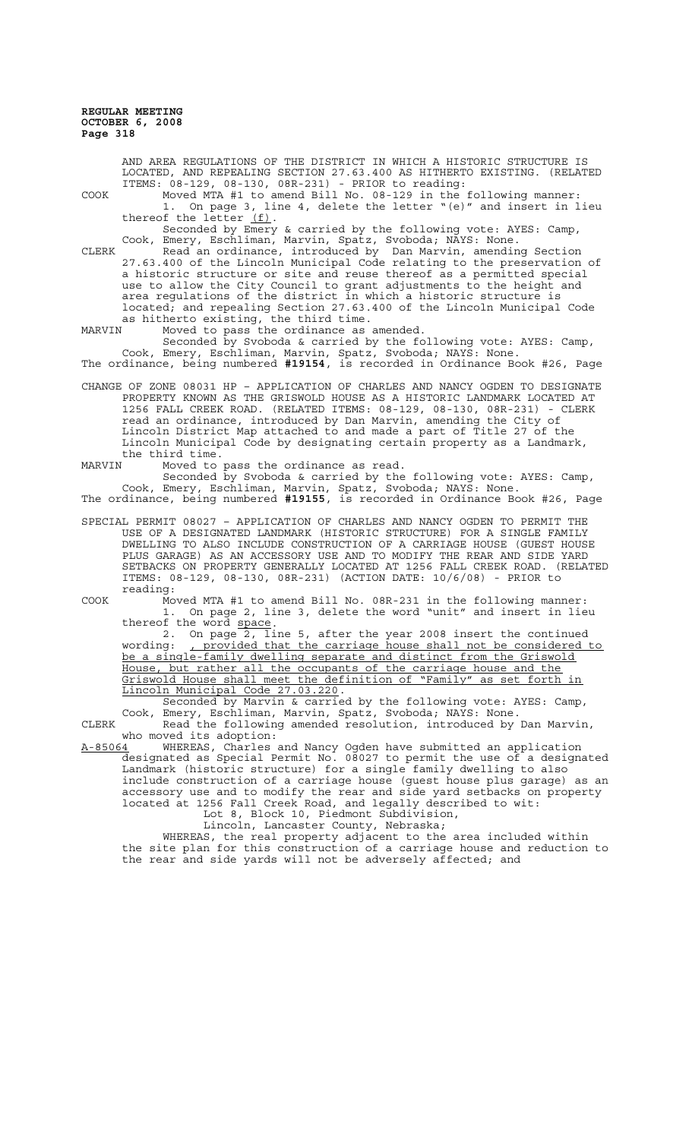LOCATED, AND REPEALING SECTION 27.63.400 AS HITHERTO EXISTING. (RELATED ITEMS: 08-129, 08-130, 08R-231) - PRIOR to reading: COOK Moved MTA #1 to amend Bill No. 08-129 in the following manner: 1. On page 3, line 4, delete the letter "(e)" and insert in lieu thereof the letter  $(f)$ . Seconded by Emery & carried by the following vote: AYES: Camp, Cook, Emery, Eschliman, Marvin, Spatz, Svoboda; NAYS: None. CLERK Read an ordinance, introduced by Dan Marvin, amending Section 27.63.400 of the Lincoln Municipal Code relating to the preservation of a historic structure or site and reuse thereof as a permitted special use to allow the City Council to grant adjustments to the height and area regulations of the district in which a historic structure is located; and repealing Section 27.63.400 of the Lincoln Municipal Code as hitherto existing, the third time. MARVIN Moved to pass the ordinance as amended. Seconded by Svoboda & carried by the following vote: AYES: Camp, Cook, Emery, Eschliman, Marvin, Spatz, Svoboda; NAYS: None. The ordinance, being numbered **#19154**, is recorded in Ordinance Book #26, Page CHANGE OF ZONE 08031 HP – APPLICATION OF CHARLES AND NANCY OGDEN TO DESIGNATE PROPERTY KNOWN AS THE GRISWOLD HOUSE AS A HISTORIC LANDMARK LOCATED AT 1256 FALL CREEK ROAD. (RELATED ITEMS: 08-129, 08-130, 08R-231) - CLERK read an ordinance, introduced by Dan Marvin, amending the City of Lincoln District Map attached to and made a part of Title 27 of the Lincoln Municipal Code by designating certain property as a Landmark, the third time.<br>MARVIN Moved to MARVIN Moved to pass the ordinance as read. Seconded by Svoboda & carried by the following vote: AYES: Camp, Cook, Emery, Eschliman, Marvin, Spatz, Svoboda; NAYS: None. The ordinance, being numbered **#19155**, is recorded in Ordinance Book #26, Page SPECIAL PERMIT 08027 – APPLICATION OF CHARLES AND NANCY OGDEN TO PERMIT THE USE OF A DESIGNATED LANDMARK (HISTORIC STRUCTURE) FOR A SINGLE FAMILY DWELLING TO ALSO INCLUDE CONSTRUCTION OF A CARRIAGE HOUSE (GUEST HOUSE PLUS GARAGE) AS AN ACCESSORY USE AND TO MODIFY THE REAR AND SIDE YARD SETBACKS ON PROPERTY GENERALLY LOCATED AT 1256 FALL CREEK ROAD. (RELATED ITEMS: 08-129, 08-130, 08R-231) (ACTION DATE: 10/6/08) - PRIOR to reading: COOK Moved MTA #1 to amend Bill No. 08R-231 in the following manner: 1. On page 2, line 3, delete the word "unit" and insert in lieu thereof the word <u>space</u>.<br>2. On page 2, line 5, after the year 2008 insert the continued wording: , provided that the carriage house shall not be considered to be a single-family dwelling separate and distinct from the Griswold<br>House, but rather all the occupants of the carriage house and the but rather all the occupants of the carriage house and the Griswold House shall meet the definition of "Family" as set forth in Lincoln Municipal Code 27.03.220. Seconded by Marvin & carried by the following vote: AYES: Camp, Cook, Emery, Eschliman, Marvin, Spatz, Svoboda; NAYS: None. CLERK Read the following amended resolution, introduced by Dan Marvin,

AND AREA REGULATIONS OF THE DISTRICT IN WHICH A HISTORIC STRUCTURE IS

who moved its adoption:<br>A-85064 WHEREAS, Charles A-85064 WHEREAS, Charles and Nancy Ogden have submitted an application designated as Special Permit No. 08027 to permit the use of a designated Landmark (historic structure) for a single family dwelling to also include construction of a carriage house (guest house plus garage) as an accessory use and to modify the rear and side yard setbacks on property located at 1256 Fall Creek Road, and legally described to wit:

Lot 8, Block 10, Piedmont Subdivision, Lincoln, Lancaster County, Nebraska;

WHEREAS, the real property adjacent to the area included within the site plan for this construction of a carriage house and reduction to the rear and side yards will not be adversely affected; and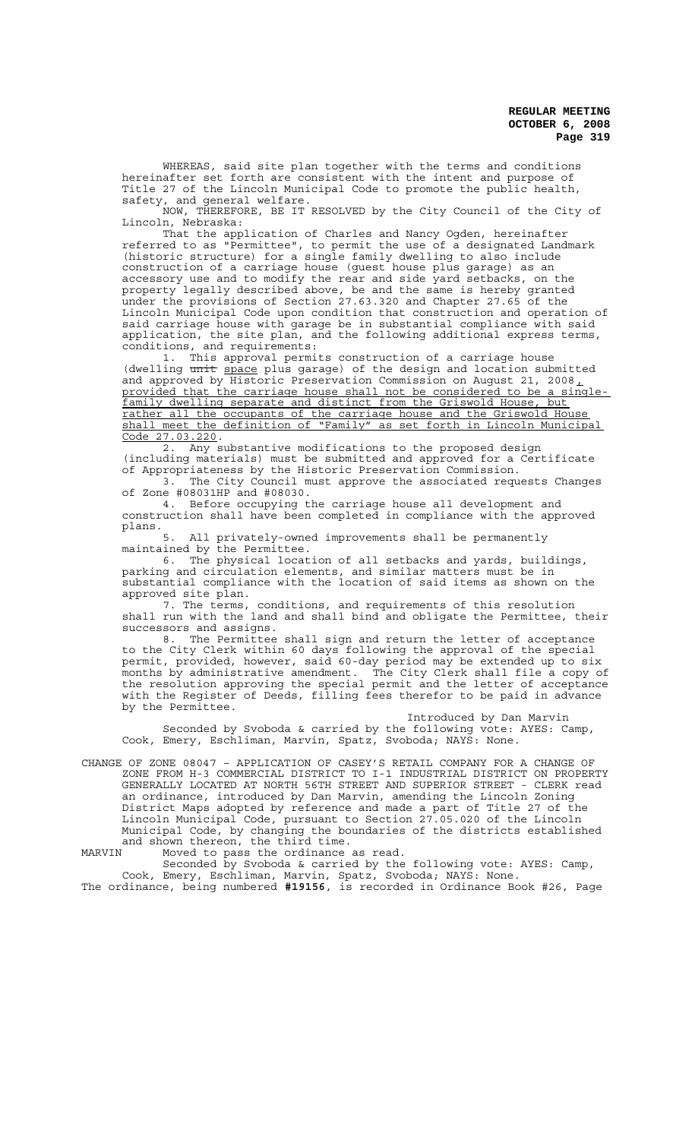WHEREAS, said site plan together with the terms and conditions hereinafter set forth are consistent with the intent and purpose of Title 27 of the Lincoln Municipal Code to promote the public health, safety, and general welfare.

NOW, THEREFORE, BE IT RESOLVED by the City Council of the City of Lincoln, Nebraska:

That the application of Charles and Nancy Ogden, hereinafter referred to as "Permittee", to permit the use of a designated Landmark (historic structure) for a single family dwelling to also include construction of a carriage house (guest house plus garage) as an accessory use and to modify the rear and side yard setbacks, on the property legally described above, be and the same is hereby granted under the provisions of Section 27.63.320 and Chapter 27.65 of the Lincoln Municipal Code upon condition that construction and operation of said carriage house with garage be in substantial compliance with said application, the site plan, and the following additional express terms, conditions, and requirements:

1. This approval permits construction of a carriage house (dwelling unit space plus garage) of the design and location submitted and approved by Historic Preservation Commission on August 21, 2008, provided that the carriage house shall not be considered to be a singlefamily dwelling separate and distinct from the Griswold House, but rather all the occupants of the carriage house and the Griswold House shall meet the definition of "Family" as set forth in Lincoln Municipal Code 27.03.220.

Any substantive modifications to the proposed design (including materials) must be submitted and approved for a Certificate

of Appropriateness by the Historic Preservation Commission.<br>3. The City Council must approve the associated requ The City Council must approve the associated requests Changes of Zone #08031HP and #08030.

4. Before occupying the carriage house all development and construction shall have been completed in compliance with the approved plans.

5. All privately-owned improvements shall be permanently maintained by the Permittee.

6. The physical location of all setbacks and yards, buildings, parking and circulation elements, and similar matters must be in substantial compliance with the location of said items as shown on the approved site plan.

7. The terms, conditions, and requirements of this resolution shall run with the land and shall bind and obligate the Permittee, their successors and assigns.

8. The Permittee shall sign and return the letter of acceptance to the City Clerk within 60 days following the approval of the special permit, provided, however, said 60-day period may be extended up to six months by administrative amendment. The City Clerk shall file a copy of the resolution approving the special permit and the letter of acceptance with the Register of Deeds, filling fees therefor to be paid in advance by the Permittee.

Introduced by Dan Marvin Seconded by Svoboda & carried by the following vote: AYES: Camp, Cook, Emery, Eschliman, Marvin, Spatz, Svoboda; NAYS: None.

CHANGE OF ZONE 08047 – APPLICATION OF CASEY'S RETAIL COMPANY FOR A CHANGE OF ZONE FROM H-3 COMMERCIAL DISTRICT TO I-1 INDUSTRIAL DISTRICT ON PROPERTY GENERALLY LOCATED AT NORTH 56TH STREET AND SUPERIOR STREET - CLERK read an ordinance, introduced by Dan Marvin, amending the Lincoln Zoning District Maps adopted by reference and made a part of Title 27 of the Lincoln Municipal Code, pursuant to Section 27.05.020 of the Lincoln Municipal Code, by changing the boundaries of the districts established and shown thereon, the third time.

MARVIN Moved to pass the ordinance as read.

Seconded by Svoboda & carried by the following vote: AYES: Camp, Cook, Emery, Eschliman, Marvin, Spatz, Svoboda; NAYS: None. The ordinance, being numbered **#19156**, is recorded in Ordinance Book #26, Page